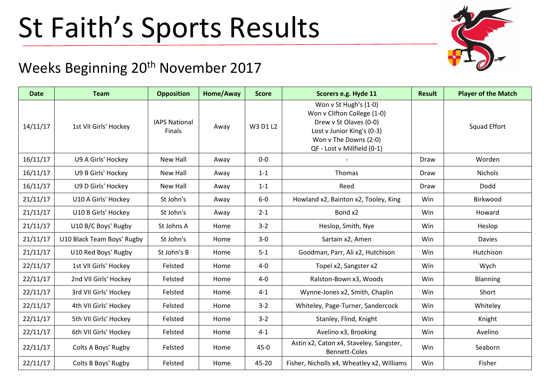## St Faith's Sports Results



## Weeks Beginning 20<sup>th</sup> November 2017

| <b>Date</b> | <b>Team</b>                | <b>Opposition</b>                     | Home/Away | <b>Score</b> | Scorers e.g. Hyde 11                                                                                                                                                 | <b>Result</b> | <b>Player of the Match</b> |
|-------------|----------------------------|---------------------------------------|-----------|--------------|----------------------------------------------------------------------------------------------------------------------------------------------------------------------|---------------|----------------------------|
| 14/11/17    | 1st VII Girls' Hockey      | <b>IAPS National</b><br><b>Finals</b> | Away      | W3 D1 L2     | Won v St Hugh's (1-0)<br>Won v Clifton College (1-0)<br>Drew v St Olaves (0-0)<br>Lost v Junior King's (0-3)<br>Won v The Downs (2-0)<br>QF - Lost v Millfield (0-1) |               | <b>Squad Effort</b>        |
| 16/11/17    | U9 A Girls' Hockey         | New Hall                              | Away      | $0-0$        |                                                                                                                                                                      | Draw          | Worden                     |
| 16/11/17    | U9 B Girls' Hockey         | New Hall                              | Away      | $1 - 1$      | Thomas                                                                                                                                                               | Draw          | <b>Nichols</b>             |
| 16/11/17    | U9 D Girls' Hockey         | New Hall                              | Away      | $1 - 1$      | Reed                                                                                                                                                                 | Draw          | Dodd                       |
| 21/11/17    | U10 A Girls' Hockey        | St John's                             | Away      | $6-0$        | Howland x2, Bainton x2, Tooley, King                                                                                                                                 | Win           | Birkwood                   |
| 21/11/17    | U10 B Girls' Hockey        | St John's                             | Away      | $2 - 1$      | Bond x2                                                                                                                                                              | Win           | Howard                     |
| 21/11/17    | U10 B/C Boys' Rugby        | St Johns A                            | Home      | $3 - 2$      | Heslop, Smith, Nye                                                                                                                                                   | Win           | Heslop                     |
| 21/11/17    | U10 Black Team Boys' Rugby | St John's                             | Home      | $3-0$        | Sartain x2, Amen                                                                                                                                                     | Win           | Davies                     |
| 21/11/17    | U10 Red Boys' Rugby        | St John's B                           | Home      | $5 - 1$      | Goodman, Parr, Ali x2, Hutchison                                                                                                                                     | Win           | Hutchison                  |
| 22/11/17    | 1st VII Girls' Hockey      | Felsted                               | Home      | $4-0$        | Topel x2, Sangster x2                                                                                                                                                | Win           | Wych                       |
| 22/11/17    | 2nd VII Girls' Hockey      | Felsted                               | Home      | $4-0$        | Ralston-Bown x3, Woods                                                                                                                                               | Win           | Blanning                   |
| 22/11/17    | 3rd VII Girls' Hockey      | Felsted                               | Home      | $4 - 1$      | Wynne-Jones x2, Smith, Chaplin                                                                                                                                       | Win           | Short                      |
| 22/11/17    | 4th VII Girls' Hockey      | Felsted                               | Home      | $3 - 2$      | Whiteley, Page-Turner, Sandercock                                                                                                                                    | Win           | Whiteley                   |
| 22/11/17    | 5th VII Girls' Hockey      | Felsted                               | Home      | $3 - 2$      | Stanley, Flind, Knight                                                                                                                                               | Win           | Knight                     |
| 22/11/17    | 6th VII Girls' Hockey      | Felsted                               | Home      | $4 - 1$      | Avelino x3, Brooking                                                                                                                                                 | Win           | Avelino                    |
| 22/11/17    | Colts A Boys' Rugby        | Felsted                               | Home      | $45 - 0$     | Astin x2, Caton x4, Staveley, Sangster,<br><b>Bennett-Coles</b>                                                                                                      | Win           | Seaborn                    |
| 22/11/17    | Colts B Boys' Rugby        | Felsted                               | Home      | 45-20        | Fisher, Nicholls x4, Wheatley x2, Williams                                                                                                                           | Win           | Fisher                     |